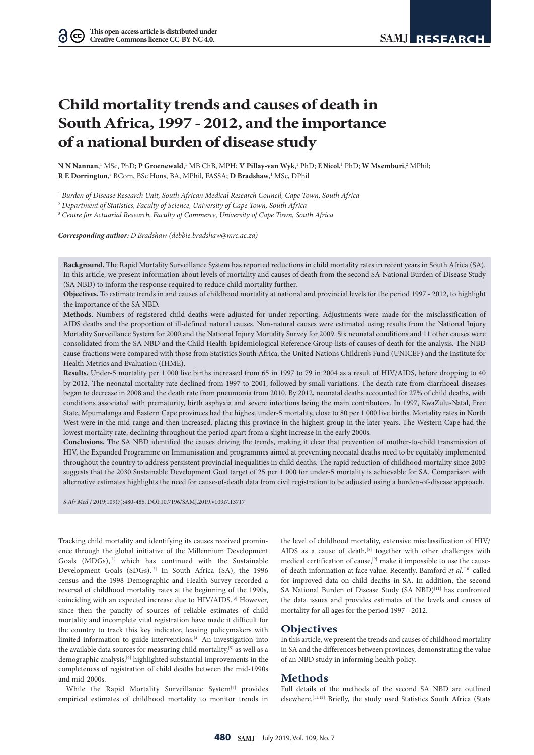# **Child mortality trends and causes of death in South Africa, 1997 - 2012, and the importance of a national burden of disease study**

 $N$  N $N$  Nannan, $^1$  MSc, PhD;  $P$  Groenewald, $^1$  MB ChB, MPH;  $V$  Pillay-van Wyk, $^1$  PhD;  $E$  Nicol, $^1$  PhD;  $W$  Msemburi, $^2$  MPhil; **R E Dorrington**,<sup>3</sup> BCom, BSc Hons, BA, MPhil, FASSA; D Bradshaw,<sup>1</sup> MSc, DPhil

1  *Burden of Disease Research Unit, South African Medical Research Council, Cape Town, South Africa*

2  *Department of Statistics, Faculty of Science, University of Cape Town, South Africa*

3  *Centre for Actuarial Research, Faculty of Commerce, University of Cape Town, South Africa*

*Corresponding author: D Bradshaw (debbie.bradshaw@mrc.ac.za)*

**Background.** The Rapid Mortality Surveillance System has reported reductions in child mortality rates in recent years in South Africa (SA). In this article, we present information about levels of mortality and causes of death from the second SA National Burden of Disease Study (SA NBD) to inform the response required to reduce child mortality further.

**Objectives.** To estimate trends in and causes of childhood mortality at national and provincial levels for the period 1997 - 2012, to highlight the importance of the SA NBD.

**Methods.** Numbers of registered child deaths were adjusted for under-reporting. Adjustments were made for the misclassification of AIDS deaths and the proportion of ill-defined natural causes. Non-natural causes were estimated using results from the National Injury Mortality Surveillance System for 2000 and the National Injury Mortality Survey for 2009. Six neonatal conditions and 11 other causes were consolidated from the SA NBD and the Child Health Epidemiological Reference Group lists of causes of death for the analysis. The NBD cause-fractions were compared with those from Statistics South Africa, the United Nations Children's Fund (UNICEF) and the Institute for Health Metrics and Evaluation (IHME).

**Results.** Under-5 mortality per 1 000 live births increased from 65 in 1997 to 79 in 2004 as a result of HIV/AIDS, before dropping to 40 by 2012. The neonatal mortality rate declined from 1997 to 2001, followed by small variations. The death rate from diarrhoeal diseases began to decrease in 2008 and the death rate from pneumonia from 2010. By 2012, neonatal deaths accounted for 27% of child deaths, with conditions associated with prematurity, birth asphyxia and severe infections being the main contributors. In 1997, KwaZulu-Natal, Free State, Mpumalanga and Eastern Cape provinces had the highest under-5 mortality, close to 80 per 1 000 live births. Mortality rates in North West were in the mid-range and then increased, placing this province in the highest group in the later years. The Western Cape had the lowest mortality rate, declining throughout the period apart from a slight increase in the early 2000s.

**Conclusions.** The SA NBD identified the causes driving the trends, making it clear that prevention of mother-to-child transmission of HIV, the Expanded Programme on Immunisation and programmes aimed at preventing neonatal deaths need to be equitably implemented throughout the country to address persistent provincial inequalities in child deaths. The rapid reduction of childhood mortality since 2005 suggests that the 2030 Sustainable Development Goal target of 25 per 1 000 for under-5 mortality is achievable for SA. Comparison with alternative estimates highlights the need for cause-of-death data from civil registration to be adjusted using a burden-of-disease approach.

*S Afr Med J* 2019;109(7):480-485. DOI:10.7196/SAMJ.2019.v109i7.13717

Tracking child mortality and identifying its causes received prominence through the global initiative of the Millennium Development Goals (MDGs),<sup>[1]</sup> which has continued with the Sustainable Development Goals (SDGs).<sup>[2]</sup> In South Africa (SA), the 1996 census and the 1998 Demographic and Health Survey recorded a reversal of childhood mortality rates at the beginning of the 1990s, coinciding with an expected increase due to HIV/AIDS.[3] However, since then the paucity of sources of reliable estimates of child mortality and incomplete vital registration have made it difficult for the country to track this key indicator, leaving policymakers with limited information to guide interventions.<sup>[4]</sup> An investigation into the available data sources for measuring child mortality,<sup>[5]</sup> as well as a demographic analysis,  $^{[6]}$  highlighted substantial improvements in the completeness of registration of child deaths between the mid-1990s and mid-2000s.

While the Rapid Mortality Surveillance System<sup>[7]</sup> provides empirical estimates of childhood mortality to monitor trends in the level of childhood mortality, extensive misclassification of HIV/ AIDS as a cause of death,<sup>[8]</sup> together with other challenges with medical certification of cause,[9] make it impossible to use the causeof-death information at face value. Recently, Bamford *et al*. [10] called for improved data on child deaths in SA. In addition, the second SA National Burden of Disease Study (SA NBD)<sup>[11]</sup> has confronted the data issues and provides estimates of the levels and causes of mortality for all ages for the period 1997 - 2012.

#### **Objectives**

In this article, we present the trends and causes of childhood mortality in SA and the differences between provinces, demonstrating the value of an NBD study in informing health policy.

### **Methods**

Full details of the methods of the second SA NBD are outlined elsewhere.[11,12] Briefly, the study used Statistics South Africa (Stats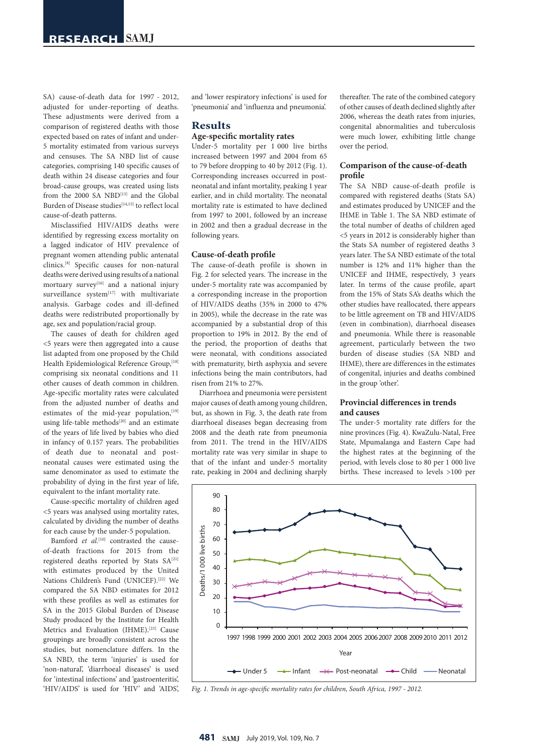SA) cause-of-death data for 1997 - 2012, adjusted for under-reporting of deaths. These adjustments were derived from a comparison of registered deaths with those expected based on rates of infant and under-5 mortality estimated from various surveys and censuses. The SA NBD list of cause categories, comprising 140 specific causes of death within 24 disease categories and four broad-cause groups, was created using lists from the 2000 SA NBD<sup>[13]</sup> and the Global Burden of Disease studies<sup>[14,15]</sup> [to](http://to) reflect local cause-of-death patterns.

Misclassified HIV/AIDS deaths were identified by regressing excess mortality on a lagged indicator of HIV prevalence of pregnant women attending public antenatal clinics.[8] Specific causes for non-natural deaths were derived using results of a national mortuary survey<sup>[16]</sup> and a national injury surveillance system<sup>[17]</sup> with multivariate analysis. Garbage codes and ill-defined deaths were redistributed proportionally by age, sex and population/racial group.

The causes of death for children aged <5 years were then aggregated into a cause list adapted from one proposed by the Child Health Epidemiological Reference Group, [18] comprising six neonatal conditions and 11 other causes of death common in children. Age-specific mortality rates were calculated from the adjusted number of deaths and estimates of the mid-year population, $[19]$ using life-table methods<sup>[20]</sup> and an estimate of the years of life lived by babies who died in infancy of 0.157 years. The probabilities of death due to neonatal and postneonatal causes were estimated using the same denominator as used to estimate the probability of dying in the first year of life, equivalent to the infant mortality rate.

Cause-specific mortality of children aged <5 years was analysed using mortality rates, calculated by dividing the number of deaths for each cause by the under-5 population.

Bamford *et al.*<sup>[10]</sup> contrasted the causeof-death fractions for 2015 from the registered deaths reported by Stats SA<sup>[21]</sup> with estimates produced by the United Nations Children's Fund (UNICEF).[22] We compared the SA NBD estimates for 2012 with these profiles as well as estimates for SA in the 2015 Global Burden of Disease Study produced by the Institute for Health Metrics and Evaluation (IHME).<sup>[23]</sup> Cause groupings are broadly consistent across the studies, but nomenclature differs. In the SA NBD, the term 'injuries' is used for 'non-natural', 'diarrhoeal diseases' is used for 'intestinal infections' and 'gastroenteritis', 'HIV/AIDS' is used for 'HIV' and 'AIDS', and 'lower respiratory infections' is used for 'pneumonia' and 'influenza and pneumonia'.

# **Results**

## **Age-specific mortality rates**

Under-5 mortality per 1 000 live births increased between 1997 and 2004 from 65 to 79 before dropping to 40 by 2012 (Fig. 1). Corresponding increases occurred in postneonatal and infant mortality, peaking 1 year earlier, and in child mortality. The neonatal mortality rate is estimated to have declined from 1997 to 2001, followed by an increase in 2002 and then a gradual decrease in the following years.

#### **Cause-of-death profile**

The cause-of-death profile is shown in Fig. 2 for selected years. The increase in the under-5 mortality rate was accompanied by a corresponding increase in the proportion of HIV/AIDS deaths (35% in 2000 to 47% in 2005), while the decrease in the rate was accompanied by a substantial drop of this proportion to 19% in 2012. By the end of the period, the proportion of deaths that were neonatal, with conditions associated with prematurity, birth asphyxia and severe infections being the main contributors, had risen from 21% to 27%.

Diarrhoea and pneumonia were persistent major causes of death among young children, but, as shown in Fig. 3, the death rate from diarrhoeal diseases began decreasing from 2008 and the death rate from pneumonia from 2011. The trend in the HIV/AIDS mortality rate was very similar in shape to that of the infant and under-5 mortality rate, peaking in 2004 and declining sharply

thereafter. The rate of the combined category of other causes of death declined slightly after 2006, whereas the death rates from injuries, congenital abnormalities and tuberculosis were much lower, exhibiting little change over the period.

#### **Comparison of the cause-of-death profile**

The SA NBD cause-of-death profile is compared with registered deaths (Stats SA) and estimates produced by UNICEF and the IHME in Table 1. The SA NBD estimate of the total number of deaths of children aged <5 years in 2012 is considerably higher than the Stats SA number of registered deaths 3 years later. The SA NBD estimate of the total number is 12% and 11% higher than the UNICEF and IHME, respectively, 3 years later. In terms of the cause profile, apart from the 15% of Stats SA's deaths which the other studies have reallocated, there appears to be little agreement on TB and HIV/AIDS (even in combination), diarrhoeal diseases and pneumonia. While there is reasonable agreement, particularly between the two burden of disease studies (SA NBD and IHME), there are differences in the estimates of congenital, injuries and deaths combined in the group 'other'.

#### **Provincial differences in trends and causes**

The under-5 mortality rate differs for the nine provinces (Fig. 4). KwaZulu-Natal, Free State, Mpumalanga and Eastern Cape had the highest rates at the beginning of the period, with levels close to 80 per 1 000 live births. These increased to levels >100 per



*Fig. 1. Trends in age-specific mortality rates for children, South Africa, 1997 - 2012.*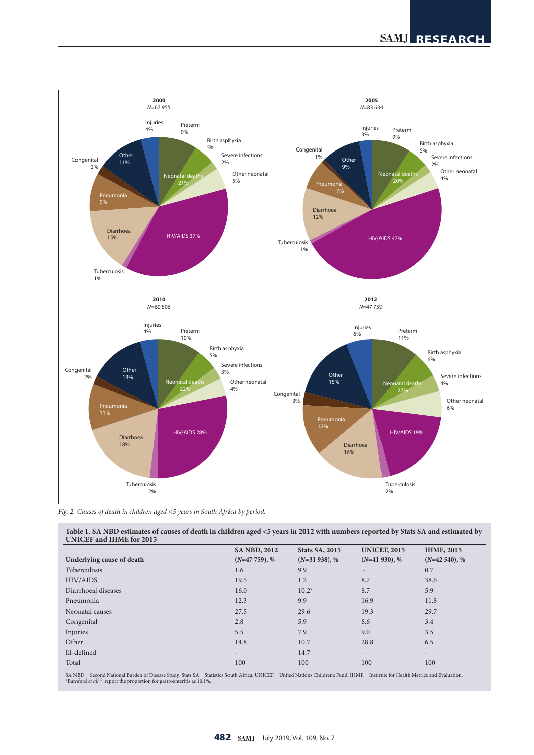

*Fig. 2. Causes of death in children aged <5 years in South Africa by period.*

**Table 1. SA NBD estimates of causes of death in children aged <5 years in 2012 with numbers reported by Stats SA and estimated by UNICEF and IHME for 2015**

|                           | <b>SA NBD, 2012</b>      | <b>Stats SA, 2015</b> | <b>UNICEF, 2015</b>      | <b>IHME, 2015</b>        |
|---------------------------|--------------------------|-----------------------|--------------------------|--------------------------|
| Underlying cause of death | $(N=47759), %$           | $(N=31938), %$        | $(N=41930), %$           | $(N=42, 540), %$         |
| Tuberculosis              | 1.6                      | 9.9                   | $\overline{\phantom{0}}$ | 0.7                      |
| HIV/AIDS                  | 19.5                     | 1.2                   | 8.7                      | 38.6                     |
| Diarrhoeal diseases       | 16.0                     | $10.2*$               | 8.7                      | 5.9                      |
| Pneumonia                 | 12.3                     | 9.9                   | 16.9                     | 11.8                     |
| Neonatal causes           | 27.5                     | 29.6                  | 19.3                     | 29.7                     |
| Congenital                | 2.8                      | 5.9                   | 8.6                      | 3.4                      |
| Injuries                  | 5.5                      | 7.9                   | 9.0                      | 3.5                      |
| Other                     | 14.8                     | 10.7                  | 28.8                     | 6.5                      |
| Ill-defined               | $\overline{\phantom{a}}$ | 14.7                  | $\overline{\phantom{a}}$ | $\overline{\phantom{a}}$ |
| Total                     | 100                      | 100                   | 100                      | 100                      |

SA NBD = Second National Burden of Disease Study; Stats SA = Statistics South Africa; UNICEF = United Nations Children's Fund; IHME = Institute for Health Metrics and Evaluation<br>\*Bamford *et al.*l™ report the proportion fo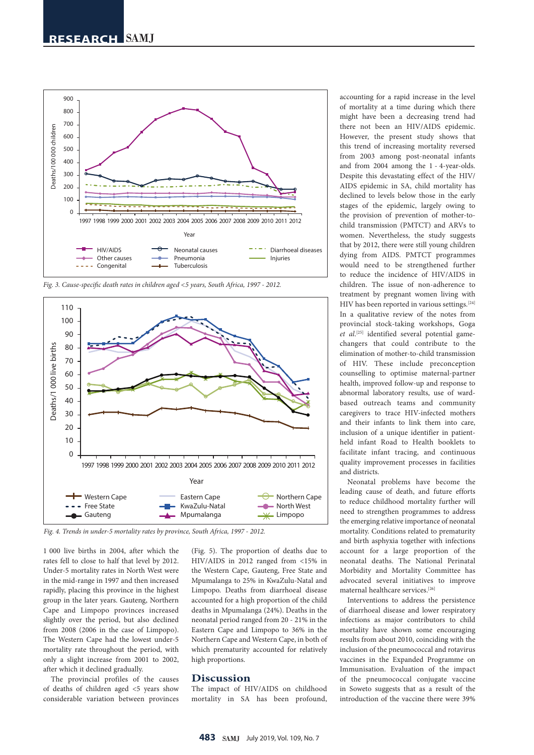

*Fig. 3. Cause-specific death rates in children aged <5 years, South Africa, 1997 - 2012.*



*Fig. 4. Trends in under-5 mortality rates by province, South Africa, 1997 - 2012.*

1 000 live births in 2004, after which the rates fell to close to half that level by 2012. Under-5 mortality rates in North West were in the mid-range in 1997 and then increased rapidly, placing this province in the highest group in the later years. Gauteng, Northern Cape and Limpopo provinces increased slightly over the period, but also declined from 2008 (2006 in the case of Limpopo). The Western Cape had the lowest under-5 mortality rate throughout the period, with only a slight increase from 2001 to 2002, after which it declined gradually.

The provincial profiles of the causes of deaths of children aged <5 years show considerable variation between provinces (Fig. 5). The proportion of deaths due to HIV/AIDS in 2012 ranged from <15% in the Western Cape, Gauteng, Free State and Mpumalanga to 25% in KwaZulu-Natal and Limpopo. Deaths from diarrhoeal disease accounted for a high proportion of the child deaths in Mpumalanga (24%). Deaths in the neonatal period ranged from 20 - 21% in the Eastern Cape and Limpopo to 36% in the Northern Cape and Western Cape, in both of which prematurity accounted for relatively high proportions.

#### **Discussion**

The impact of HIV/AIDS on childhood mortality in SA has been profound, accounting for a rapid increase in the level of mortality at a time during which there might have been a decreasing trend had there not been an HIV/AIDS epidemic. However, the present study shows that this trend of increasing mortality reversed from 2003 among post-neonatal infants and from 2004 among the 1 - 4-year-olds. Despite this devastating effect of the HIV/ AIDS epidemic in SA, child mortality has declined to levels below those in the early stages of the epidemic, largely owing to the provision of prevention of mother-tochild transmission (PMTCT) and ARVs to women. Nevertheless, the study suggests that by 2012, there were still young children dying from AIDS. PMTCT programmes would need to be strengthened further to reduce the incidence of HIV/AIDS in children. The issue of non-adherence to treatment by pregnant women living with HIV has been reported in various settings.<sup>[24]</sup> In a qualitative review of the notes from provincial stock-taking workshops, Goga et al.<sup>[25]</sup> identified several potential gamechangers that could contribute to the elimination of mother-to-child transmission of HIV. These include preconception counselling to optimise maternal-partner health, improved follow-up and response to abnormal laboratory results, use of wardbased outreach teams and community caregivers to trace HIV-infected mothers and their infants to link them into care, inclusion of a unique identifier in patientheld infant Road to Health booklets to facilitate infant tracing, and continuous quality improvement processes in facilities and districts.

Neonatal problems have become the leading cause of death, and future efforts to reduce childhood mortality further will need to strengthen programmes to address the emerging relative importance of neonatal mortality. Conditions related to prematurity and birth asphyxia together with infections account for a large proportion of the neonatal deaths. The National Perinatal Morbidity and Mortality Committee has advocated several initiatives to improve maternal healthcare services.[26]

Interventions to address the persistence of diarrhoeal disease and lower respiratory infections as major contributors to child mortality have shown some encouraging results from about 2010, coinciding with the inclusion of the pneumococcal and rotavirus vaccines in the Expanded Programme on Immunisation. Evaluation of the impact of the pneumococcal conjugate vaccine in Soweto suggests that as a result of the introduction of the vaccine there were 39%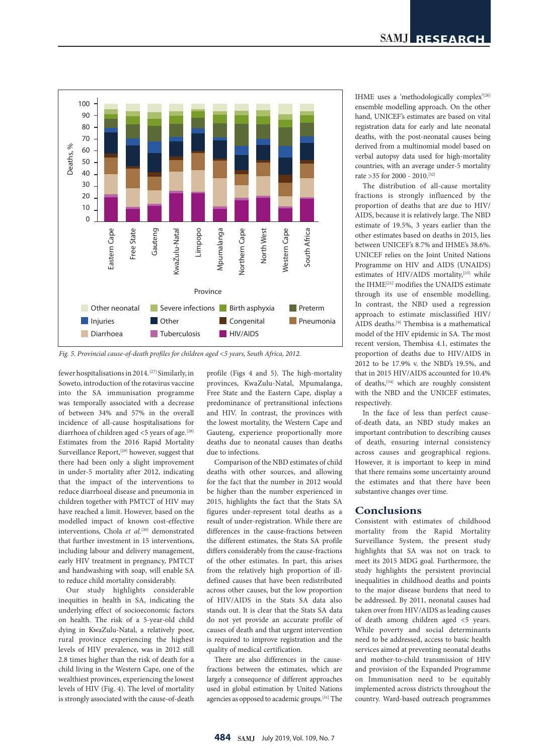

*Fig. 5. Provincial cause-of-death profiles for children aged <5 years, South Africa, 2012.*

fewer hospitalisations in 2014.[27] Similarly, in Soweto, introduction of the rotavirus vaccine into the SA immunisation programme was temporally associated with a decrease of between 34% and 57% in the overall incidence of all-cause hospitalisations for diarrhoea of children aged <5 years of age.<sup>[28]</sup> Estimates from the 2016 Rapid Mortality Surveillance Report,<sup>[29]</sup> however, suggest that there had been only a slight improvement in under-5 mortality after 2012, indicating that the impact of the interventions to reduce diarrhoeal disease and pneumonia in children together with PMTCT of HIV may have reached a limit. However, based on the modelled impact of known cost-effective interventions, Chola et al.<sup>[30]</sup> demonstrated that further investment in 15 interventions, including labour and delivery management, early HIV treatment in pregnancy, PMTCT and handwashing with soap, will enable SA to reduce child mortality considerably.

Our study highlights considerable inequities in health in SA, indicating the underlying effect of socioeconomic factors on health. The risk of a 5-year-old child dying in KwaZulu-Natal, a relatively poor, rural province experiencing the highest levels of HIV prevalence, was in 2012 still 2.8 times higher than the risk of death for a child living in the Western Cape, one of the wealthiest provinces, experiencing the lowest levels of HIV (Fig. 4). The level of mortality is strongly associated with the cause-of-death

profile (Figs 4 and 5). The high-mortality provinces, KwaZulu-Natal, Mpumalanga, Free State and the Eastern Cape, display a predominance of pretransitional infections and HIV. In contrast, the provinces with the lowest mortality, the Western Cape and Gauteng, experience proportionally more deaths due to neonatal causes than deaths due to infections.

Comparison of the NBD estimates of child deaths with other sources, and allowing for the fact that the number in 2012 would be higher than the number experienced in 2015, highlights the fact that the Stats SA figures under-represent total deaths as a result of under-registration. While there are differences in the cause-fractions between the different estimates, the Stats SA profile differs considerably from the cause-fractions of the other estimates. In part, this arises from the relatively high proportion of illdefined causes that have been redistributed across other causes, but the low proportion of HIV/AIDS in the Stats SA data also stands out. It is clear that the Stats SA data do not yet provide an accurate profile of causes of death and that urgent intervention is required to improve registration and the quality of medical certification.

There are also differences in the causefractions between the estimates, which are largely a consequence of different approaches used in global estimation by United Nations agencies as opposed to academic groups.[31] The IHME uses a 'methodologically complex'[26] ensemble modelling approach. On the other hand, UNICEF's estimates are based on vital registration data for early and late neonatal deaths, with the post-neonatal causes being derived from a multinomial model based on verbal autopsy data used for high-mortality countries, with an average under-5 mortality rate >35 for 2000 - 2010.[32]

The distribution of all-cause mortality fractions is strongly influenced by the proportion of deaths that are due to HIV/ AIDS, because it is relatively large. The NBD estimate of 19.5%, 3 years earlier than the other estimates based on deaths in 2015, lies between UNICEF's 8.7% and IHME's 38.6%. UNICEF relies on the Joint United Nations Programme on HIV and AIDS (UNAIDS) estimates of HIV/AIDS mortality,<sup>[33]</sup> while the IHME<sup>[21]</sup> modifies the UNAIDS estimate through its use of ensemble modelling. In contrast, the NBD used a regression approach to estimate misclassified HIV/ AIDS deaths.[9] Thembisa is a mathematical model of the HIV epidemic in SA. The most recent version, Thembisa 4.1, estimates the proportion of deaths due to HIV/AIDS in 2012 to be 17.9% v. the NBD's 19.5%, and that in 2015 HIV/AIDS accounted for 10.4% of deaths,[34] which are roughly consistent with the NBD and the UNICEF estimates, respectively.

In the face of less than perfect causeof-death data, an NBD study makes an important contribution to describing causes of death, ensuring internal consistency across causes and geographical regions. However, it is important to keep in mind that there remains some uncertainty around the estimates and that there have been substantive changes over time.

### **Conclusions**

Consistent with estimates of childhood mortality from the Rapid Mortality Surveillance System, the present study highlights that SA was not on track to meet its 2015 MDG goal. Furthermore, the study highlights the persistent provincial inequalities in childhood deaths and points to the major disease burdens that need to be addressed. By 2011, neonatal causes had taken over from HIV/AIDS as leading causes of death among children aged <5 years. While poverty and social determinants need to be addressed, access to basic health services aimed at preventing neonatal deaths and mother-to-child transmission of HIV and provision of the Expanded Programme on Immunisation need to be equitably implemented across districts throughout the country. Ward-based outreach programmes